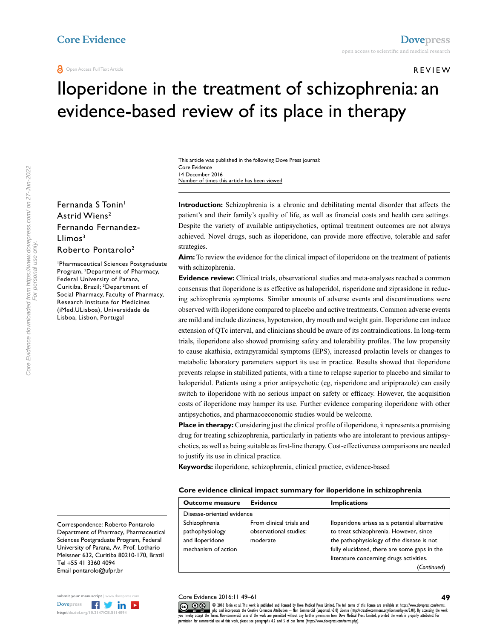#### REVIEW

**49**

# Iloperidone in the treatment of schizophrenia: an evidence-based review of its place in therapy

This article was published in the following Dove Press journal: Core Evidence 14 December 2016 Number of times this article has been viewed

Fernanda S Tonin<sup>1</sup> Astrid Wiens2 Fernando Fernandez- $Llimos<sup>3</sup>$ Roberto Pontarolo2

1 Pharmaceutical Sciences Postgraduate Program, 2 Department of Pharmacy, Federal University of Parana, Curitiba, Brazil; 3 Department of Social Pharmacy, Faculty of Pharmacy, Research Institute for Medicines (iMed.ULisboa), Universidade de Lisboa, Lisbon, Portugal

**Introduction:** Schizophrenia is a chronic and debilitating mental disorder that affects the patient's and their family's quality of life, as well as financial costs and health care settings. Despite the variety of available antipsychotics, optimal treatment outcomes are not always achieved. Novel drugs, such as iloperidone, can provide more effective, tolerable and safer strategies.

**Aim:** To review the evidence for the clinical impact of iloperidone on the treatment of patients with schizophrenia.

**Evidence review:** Clinical trials, observational studies and meta-analyses reached a common consensus that iloperidone is as effective as haloperidol, risperidone and ziprasidone in reducing schizophrenia symptoms. Similar amounts of adverse events and discontinuations were observed with iloperidone compared to placebo and active treatments. Common adverse events are mild and include dizziness, hypotension, dry mouth and weight gain. Iloperidone can induce extension of QTc interval, and clinicians should be aware of its contraindications. In long-term trials, iloperidone also showed promising safety and tolerability profiles. The low propensity to cause akathisia, extrapyramidal symptoms (EPS), increased prolactin levels or changes to metabolic laboratory parameters support its use in practice. Results showed that iloperidone prevents relapse in stabilized patients, with a time to relapse superior to placebo and similar to haloperidol. Patients using a prior antipsychotic (eg, risperidone and aripiprazole) can easily switch to iloperidone with no serious impact on safety or efficacy. However, the acquisition costs of iloperidone may hamper its use. Further evidence comparing iloperidone with other antipsychotics, and pharmacoeconomic studies would be welcome.

**Place in therapy:** Considering just the clinical profile of iloperidone, it represents a promising drug for treating schizophrenia, particularly in patients who are intolerant to previous antipsychotics, as well as being suitable as first-line therapy. Cost-effectiveness comparisons are needed to justify its use in clinical practice.

**Keywords:** iloperidone, schizophrenia, clinical practice, evidence-based

#### **Core evidence clinical impact summary for iloperidone in schizophrenia**

| <b>Outcome measure</b>                                                     | <b>Evidence</b>                                                | <b>Implications</b>                                                                                                                                                                                                             |
|----------------------------------------------------------------------------|----------------------------------------------------------------|---------------------------------------------------------------------------------------------------------------------------------------------------------------------------------------------------------------------------------|
| Disease-oriented evidence                                                  |                                                                |                                                                                                                                                                                                                                 |
| Schizophrenia<br>pathophysiology<br>and iloperidone<br>mechanism of action | From clinical trials and<br>observational studies:<br>moderate | lloperidone arises as a potential alternative<br>to treat schizophrenia. However, since<br>the pathophysiology of the disease is not<br>fully elucidated, there are some gaps in the<br>literature concerning drugs activities. |
|                                                                            |                                                                | 'Continued'                                                                                                                                                                                                                     |

Correspondence: Roberto Pontarolo Department of Pharmacy, Pharmaceutical Sciences Postgraduate Program, Federal University of Parana, Av. Prof. Lothario Meissner 632, Curitiba 80210-170, Brazil Tel +55 41 3360 4094 Email pontarolo@ufpr.br



For personal use only.

Core Evidence 2016:11 49–61

CODI6 Tonin et al. This work is published and licensed by Dove Medical Press Limited. The full terms of this license are available at https://www.dovepress.com/terms.<br> [you hereby accept the T](http://www.dovepress.com/permissions.php)erms. Non-commercial uses of th  $m$ ission for commercial use of this work, please see paragraphs  $4.2$  and  $5$  of our Terms (https://www.dovepress.com/terms.php).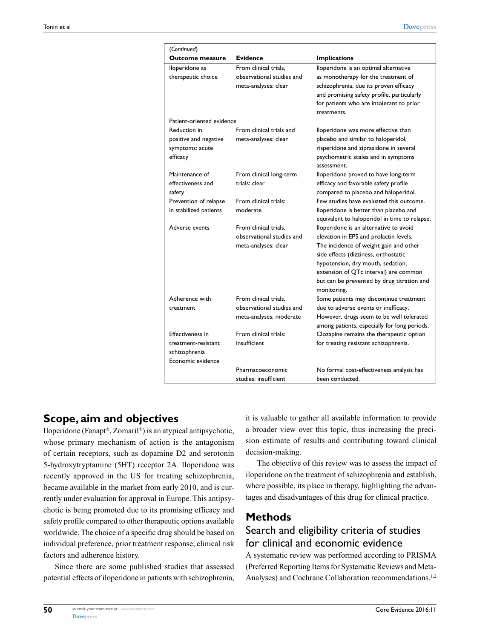| (Continued)               |                           |                                                           |
|---------------------------|---------------------------|-----------------------------------------------------------|
| Outcome measure           | <b>Evidence</b>           | <b>Implications</b>                                       |
| lloperidone as            | From clinical trials,     | lloperidone is an optimal alternative                     |
| therapeutic choice        | observational studies and | as monotherapy for the treatment of                       |
|                           | meta-analyses: clear      | schizophrenia, due its proven efficacy                    |
|                           |                           | and promising safety profile, particularly                |
|                           |                           | for patients who are intolerant to prior                  |
|                           |                           | treatments.                                               |
| Patient-oriented evidence |                           |                                                           |
| Reduction in              | From clinical trials and  | lloperidone was more effective than                       |
| positive and negative     | meta-analyses: clear      | placebo and similar to haloperidol,                       |
| symptoms: acute           |                           | risperidone and ziprasidone in several                    |
| efficacy                  |                           | psychometric scales and in symptoms                       |
|                           |                           | assessment.                                               |
| Maintenance of            | From clinical long-term   | lloperidone proved to have long-term                      |
| effectiveness and         | trials: clear             | efficacy and favorable safety profile                     |
| safety                    |                           | compared to placebo and haloperidol.                      |
| Prevention of relapse     | From clinical trials:     | Few studies have evaluated this outcome.                  |
| in stabilized patients    | moderate                  | lloperidone is better than placebo and                    |
|                           |                           | equivalent to haloperidol in time to relapse.             |
| Adverse events            | From clinical trials,     | lloperidone is an alternative to avoid                    |
|                           | observational studies and | elevation in EPS and prolactin levels.                    |
|                           | meta-analyses: clear      | The incidence of weight gain and other                    |
|                           |                           | side effects (dizziness, orthostatic                      |
|                           |                           | hypotension, dry mouth, sedation,                         |
|                           |                           | extension of QTc interval) are common                     |
|                           |                           | but can be prevented by drug titration and<br>monitoring. |
| Adherence with            | From clinical trials.     | Some patients may discontinue treatment                   |
| treatment                 | observational studies and | due to adverse events or inefficacy.                      |
|                           | meta-analyses: moderate   | However, drugs seem to be well tolerated                  |
|                           |                           | among patients, especially for long periods.              |
| <b>Effectiveness in</b>   | From clinical trials:     | Clozapine remains the therapeutic option                  |
| treatment-resistant       | insufficient              | for treating resistant schizophrenia.                     |
| schizophrenia             |                           |                                                           |
| Economic evidence         |                           |                                                           |
|                           | Pharmacoeconomic          | No formal cost-effectiveness analysis has                 |
|                           | studies: insufficient     | been conducted.                                           |

### **Scope, aim and objectives**

Iloperidone (Fanapt®, Zomaril®) is an atypical antipsychotic, whose primary mechanism of action is the antagonism of certain receptors, such as dopamine D2 and serotonin 5-hydroxytryptamine (5HT) receptor 2A. Iloperidone was recently approved in the US for treating schizophrenia, became available in the market from early 2010, and is currently under evaluation for approval in Europe. This antipsychotic is being promoted due to its promising efficacy and safety profile compared to other therapeutic options available worldwide. The choice of a specific drug should be based on individual preference, prior treatment response, clinical risk factors and adherence history.

Since there are some published studies that assessed potential effects of iloperidone in patients with schizophrenia,

it is valuable to gather all available information to provide a broader view over this topic, thus increasing the precision estimate of results and contributing toward clinical decision-making.

The objective of this review was to assess the impact of iloperidone on the treatment of schizophrenia and establish, where possible, its place in therapy, highlighting the advantages and disadvantages of this drug for clinical practice.

### **Methods**

# Search and eligibility criteria of studies for clinical and economic evidence

A systematic review was performed according to PRISMA (Preferred Reporting Items for Systematic Reviews and Meta-Analyses) and Cochrane Collaboration recommendations.<sup>1,2</sup>

**50**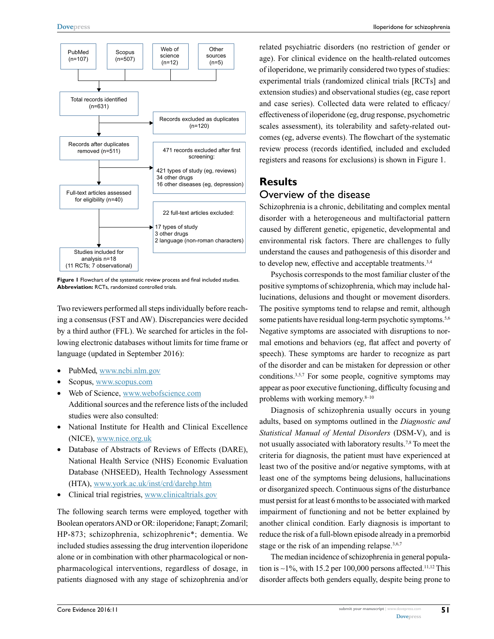

**Figure 1** Flowchart of the systematic review process and final included studies. **Abbreviation:** RCTs, randomized controlled trials.

Two reviewers performed all steps individually before reaching a consensus (FST and AW). Discrepancies were decided by a third author (FFL). We searched for articles in the following electronic databases without limits for time frame or language (updated in September 2016):

- PubMed,<www.ncbi.nlm.gov>
- Scopus, <www.scopus.com>
- Web of Science, www.webofscience.com Additional sources and the reference lists of the included studies were also consulted:
- National Institute for Health and Clinical Excellence (NICE),<www.nice.org.uk>
- Database of Abstracts of Reviews of Effects (DARE), National Health Service (NHS) Economic Evaluation Database (NHSEED), Health Technology Assessment (HTA),<www.york.ac.uk/inst/crd/darehp.htm>
- Clinical trial registries,<www.clinicaltrials.gov>

The following search terms were employed, together with Boolean operators AND or OR: iloperidone; Fanapt; Zomaril; HP-873; schizophrenia, schizophrenic\*; dementia. We included studies assessing the drug intervention iloperidone alone or in combination with other pharmacological or nonpharmacological interventions, regardless of dosage, in patients diagnosed with any stage of schizophrenia and/or related psychiatric disorders (no restriction of gender or age). For clinical evidence on the health-related outcomes of iloperidone, we primarily considered two types of studies: experimental trials (randomized clinical trials [RCTs] and extension studies) and observational studies (eg, case report and case series). Collected data were related to efficacy/ effectiveness of iloperidone (eg, drug response, psychometric scales assessment), its tolerability and safety-related outcomes (eg, adverse events). The flowchart of the systematic review process (records identified, included and excluded registers and reasons for exclusions) is shown in Figure 1.

### **Results** Overview of the disease

Schizophrenia is a chronic, debilitating and complex mental disorder with a heterogeneous and multifactorial pattern caused by different genetic, epigenetic, developmental and environmental risk factors. There are challenges to fully understand the causes and pathogenesis of this disorder and to develop new, effective and acceptable treatments.<sup>3,4</sup>

Psychosis corresponds to the most familiar cluster of the positive symptoms of schizophrenia, which may include hallucinations, delusions and thought or movement disorders. The positive symptoms tend to relapse and remit, although some patients have residual long-term psychotic symptoms.<sup>5,6</sup> Negative symptoms are associated with disruptions to normal emotions and behaviors (eg, flat affect and poverty of speech). These symptoms are harder to recognize as part of the disorder and can be mistaken for depression or other conditions.3,5,7 For some people, cognitive symptoms may appear as poor executive functioning, difficulty focusing and problems with working memory. $8-10$ 

Diagnosis of schizophrenia usually occurs in young adults, based on symptoms outlined in the *Diagnostic and Statistical Manual of Mental Disorders* (DSM-V), and is not usually associated with laboratory results.7,8 To meet the criteria for diagnosis, the patient must have experienced at least two of the positive and/or negative symptoms, with at least one of the symptoms being delusions, hallucinations or disorganized speech. Continuous signs of the disturbance must persist for at least 6 months to be associated with marked impairment of functioning and not be better explained by another clinical condition. Early diagnosis is important to reduce the risk of a full-blown episode already in a premorbid stage or the risk of an impending relapse. $3,6,7$ 

The median incidence of schizophrenia in general population is  $\sim$ 1%, with 15.2 per 100,000 persons affected.<sup>11,12</sup> This disorder affects both genders equally, despite being prone to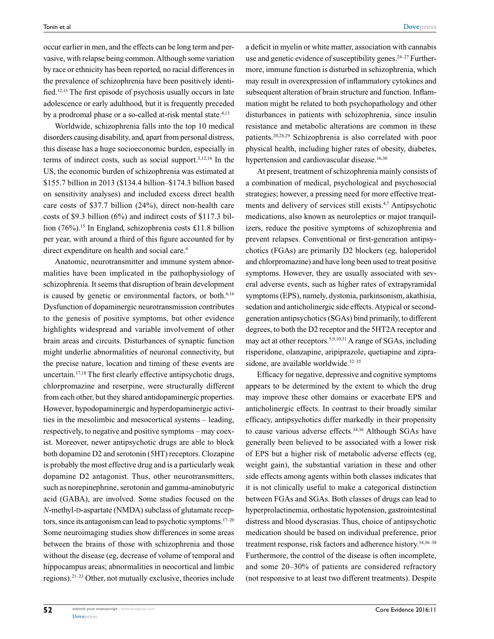occur earlier in men, and the effects can be long term and pervasive, with relapse being common. Although some variation by race or ethnicity has been reported, no racial differences in the prevalence of schizophrenia have been positively identified.12,13 The first episode of psychosis usually occurs in late adolescence or early adulthood, but it is frequently preceded by a prodromal phase or a so-called at-risk mental state.<sup>4,13</sup>

Worldwide, schizophrenia falls into the top 10 medical disorders causing disability, and, apart from personal distress, this disease has a huge socioeconomic burden, especially in terms of indirect costs, such as social support.3,12,14 In the US, the economic burden of schizophrenia was estimated at \$155.7 billion in 2013 (\$134.4 billion–\$174.3 billion based on sensitivity analyses) and included excess direct health care costs of \$37.7 billion (24%), direct non-health care costs of \$9.3 billion (6%) and indirect costs of \$117.3 billion (76%).<sup>15</sup> In England, schizophrenia costs £11.8 billion per year, with around a third of this figure accounted for by direct expenditure on health and social care.<sup>4</sup>

Anatomic, neurotransmitter and immune system abnormalities have been implicated in the pathophysiology of schizophrenia. It seems that disruption of brain development is caused by genetic or environmental factors, or both.<sup>6,16</sup> Dysfunction of dopaminergic neurotransmission contributes to the genesis of positive symptoms, but other evidence highlights widespread and variable involvement of other brain areas and circuits. Disturbances of synaptic function might underlie abnormalities of neuronal connectivity, but the precise nature, location and timing of these events are uncertain.17,18 The first clearly effective antipsychotic drugs, chlorpromazine and reserpine, were structurally different from each other, but they shared antidopaminergic properties. However, hypodopaminergic and hyperdopaminergic activities in the mesolimbic and mesocortical systems – leading, respectively, to negative and positive symptoms – may coexist. Moreover, newer antipsychotic drugs are able to block both dopamine D2 and serotonin (5HT) receptors. Clozapine is probably the most effective drug and is a particularly weak dopamine D2 antagonist. Thus, other neurotransmitters, such as norepinephrine, serotonin and gamma-aminobutyric acid (GABA), are involved. Some studies focused on the *N*-methyl-D-aspartate (NMDA) subclass of glutamate receptors, since its antagonism can lead to psychotic symptoms. $17-20$ Some neuroimaging studies show differences in some areas between the brains of those with schizophrenia and those without the disease (eg, decrease of volume of temporal and hippocampus areas; abnormalities in neocortical and limbic regions).21–23 Other, not mutually exclusive, theories include a deficit in myelin or white matter, association with cannabis use and genetic evidence of susceptibility genes.<sup>24–27</sup> Furthermore, immune function is disturbed in schizophrenia, which may result in overexpression of inflammatory cytokines and subsequent alteration of brain structure and function. Inflammation might be related to both psychopathology and other disturbances in patients with schizophrenia, since insulin resistance and metabolic alterations are common in these patients.20,28,29 Schizophrenia is also correlated with poor physical health, including higher rates of obesity, diabetes, hypertension and cardiovascular disease.<sup>16,30</sup>

At present, treatment of schizophrenia mainly consists of a combination of medical, psychological and psychosocial strategies; however, a pressing need for more effective treatments and delivery of services still exists.4,7 Antipsychotic medications, also known as neuroleptics or major tranquilizers, reduce the positive symptoms of schizophrenia and prevent relapses. Conventional or first-generation antipsychotics (FGAs) are primarily D2 blockers (eg, haloperidol and chlorpromazine) and have long been used to treat positive symptoms. However, they are usually associated with several adverse events, such as higher rates of extrapyramidal symptoms (EPS), namely, dystonia, parkinsonism, akathisia, sedation and anticholinergic side effects. Atypical or secondgeneration antipsychotics (SGAs) bind primarily, to different degrees, to both the D2 receptor and the 5HT2A receptor and may act at other receptors.5,9,10,31 A range of SGAs, including risperidone, olanzapine, aripiprazole, quetiapine and ziprasidone, are available worldwide.<sup>32-35</sup>

Efficacy for negative, depressive and cognitive symptoms appears to be determined by the extent to which the drug may improve these other domains or exacerbate EPS and anticholinergic effects. In contrast to their broadly similar efficacy, antipsychotics differ markedly in their propensity to cause various adverse effects.34,36 Although SGAs have generally been believed to be associated with a lower risk of EPS but a higher risk of metabolic adverse effects (eg, weight gain), the substantial variation in these and other side effects among agents within both classes indicates that it is not clinically useful to make a categorical distinction between FGAs and SGAs. Both classes of drugs can lead to hyperprolactinemia, orthostatic hypotension, gastrointestinal distress and blood dyscrasias. Thus, choice of antipsychotic medication should be based on individual preference, prior treatment response, risk factors and adherence history.34,36–38 Furthermore, the control of the disease is often incomplete, and some 20–30% of patients are considered refractory (not responsive to at least two different treatments). Despite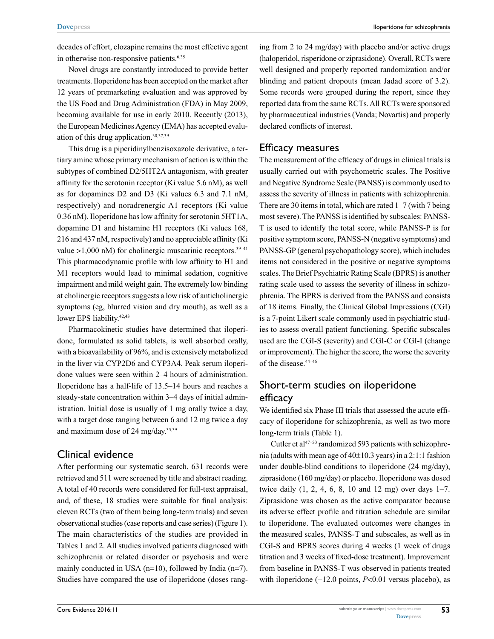decades of effort, clozapine remains the most effective agent in otherwise non-responsive patients.<sup>6,35</sup>

Novel drugs are constantly introduced to provide better treatments. Iloperidone has been accepted on the market after 12 years of premarketing evaluation and was approved by the US Food and Drug Administration (FDA) in May 2009, becoming available for use in early 2010. Recently (2013), the European Medicines Agency (EMA) has accepted evaluation of this drug application.30,37,39

This drug is a piperidinylbenzisoxazole derivative, a tertiary amine whose primary mechanism of action is within the subtypes of combined D2/5HT2A antagonism, with greater affinity for the serotonin receptor (Ki value 5.6 nM), as well as for dopamines D2 and D3 (Ki values 6.3 and 7.1 nM, respectively) and noradrenergic A1 receptors (Ki value 0.36 nM). Iloperidone has low affinity for serotonin 5HT1A, dopamine D1 and histamine H1 receptors (Ki values 168, 216 and 437 nM, respectively) and no appreciable affinity (Ki value  $>1,000$  nM) for cholinergic muscarinic receptors.<sup>39-41</sup> This pharmacodynamic profile with low affinity to H1 and M1 receptors would lead to minimal sedation, cognitive impairment and mild weight gain. The extremely low binding at cholinergic receptors suggests a low risk of anticholinergic symptoms (eg, blurred vision and dry mouth), as well as a lower EPS liability.<sup>42,43</sup>

Pharmacokinetic studies have determined that iloperidone, formulated as solid tablets, is well absorbed orally, with a bioavailability of 96%, and is extensively metabolized in the liver via CYP2D6 and CYP3A4. Peak serum iloperidone values were seen within 2–4 hours of administration. Iloperidone has a half-life of 13.5–14 hours and reaches a steady-state concentration within 3–4 days of initial administration. Initial dose is usually of 1 mg orally twice a day, with a target dose ranging between 6 and 12 mg twice a day and maximum dose of 24 mg/day.35,39

### Clinical evidence

After performing our systematic search, 631 records were retrieved and 511 were screened by title and abstract reading. A total of 40 records were considered for full-text appraisal, and, of these, 18 studies were suitable for final analysis: eleven RCTs (two of them being long-term trials) and seven observational studies (case reports and case series) (Figure 1). The main characteristics of the studies are provided in Tables 1 and 2. All studies involved patients diagnosed with schizophrenia or related disorder or psychosis and were mainly conducted in USA  $(n=10)$ , followed by India  $(n=7)$ . Studies have compared the use of iloperidone (doses ranging from 2 to 24 mg/day) with placebo and/or active drugs (haloperidol, risperidone or ziprasidone). Overall, RCTs were well designed and properly reported randomization and/or blinding and patient dropouts (mean Jadad score of 3.2). Some records were grouped during the report, since they reported data from the same RCTs. All RCTs were sponsored by pharmaceutical industries (Vanda; Novartis) and properly declared conflicts of interest.

### Efficacy measures

The measurement of the efficacy of drugs in clinical trials is usually carried out with psychometric scales. The Positive and Negative Syndrome Scale (PANSS) is commonly used to assess the severity of illness in patients with schizophrenia. There are 30 items in total, which are rated  $1-7$  (with 7 being most severe). The PANSS is identified by subscales: PANSS-T is used to identify the total score, while PANSS-P is for positive symptom score, PANSS-N (negative symptoms) and PANSS-GP (general psychopathology score), which includes items not considered in the positive or negative symptoms scales. The Brief Psychiatric Rating Scale (BPRS) is another rating scale used to assess the severity of illness in schizophrenia. The BPRS is derived from the PANSS and consists of 18 items. Finally, the Clinical Global Impressions (CGI) is a 7-point Likert scale commonly used in psychiatric studies to assess overall patient functioning. Specific subscales used are the CGI-S (severity) and CGI-C or CGI-I (change or improvement). The higher the score, the worse the severity of the disease.44–46

## Short-term studies on iloperidone efficacy

We identified six Phase III trials that assessed the acute efficacy of iloperidone for schizophrenia, as well as two more long-term trials (Table 1).

Cutler et al $47-50$  randomized 593 patients with schizophrenia (adults with mean age of 40±10.3 years) in a 2:1:1 fashion under double-blind conditions to iloperidone (24 mg/day), ziprasidone (160 mg/day) or placebo. Iloperidone was dosed twice daily (1, 2, 4, 6, 8, 10 and 12 mg) over days 1–7. Ziprasidone was chosen as the active comparator because its adverse effect profile and titration schedule are similar to iloperidone. The evaluated outcomes were changes in the measured scales, PANSS-T and subscales, as well as in CGI-S and BPRS scores during 4 weeks (1 week of drugs titration and 3 weeks of fixed-dose treatment). Improvement from baseline in PANSS-T was observed in patients treated with iloperidone (−12.0 points, *P*<0.01 versus placebo), as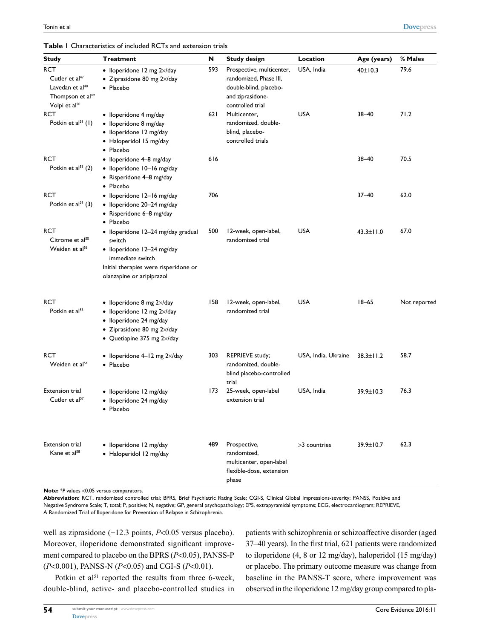#### **Table 1** Characteristics of included RCTs and extension trials

| <b>Study</b>                                                                                                                         | <b>Treatment</b>                                                                                                                                                                                          | N   | <b>Study design</b>                                                                                                   | Location                            | Age (years)     | % Males      |
|--------------------------------------------------------------------------------------------------------------------------------------|-----------------------------------------------------------------------------------------------------------------------------------------------------------------------------------------------------------|-----|-----------------------------------------------------------------------------------------------------------------------|-------------------------------------|-----------------|--------------|
| <b>RCT</b><br>Cutler et al <sup>47</sup><br>Lavedan et al <sup>48</sup><br>Thompson et al <sup>49</sup><br>Volpi et al <sup>50</sup> | $\bullet$ Iloperidone 12 mg $2\times$ /day<br>$\bullet$ Ziprasidone 80 mg 2 $\times$ /day<br>• Placebo                                                                                                    | 593 | Prospective, multicenter,<br>randomized, Phase III,<br>double-blind, placebo-<br>and ziprasidone-<br>controlled trial | USA, India                          | 40±10.3         | 79.6         |
| <b>RCT</b><br>Potkin et $al^{51}(1)$                                                                                                 | · Iloperidone 4 mg/day<br>· Iloperidone 8 mg/day<br>· Iloperidone 12 mg/day<br>• Haloperidol 15 mg/day<br>· Placebo                                                                                       | 621 | Multicenter,<br>randomized, double-<br>blind, placebo-<br>controlled trials                                           | <b>USA</b>                          | $38 - 40$       | 71.2         |
| <b>RCT</b><br>Potkin et $al^{51}$ (2)                                                                                                | · Iloperidone 4-8 mg/day<br>· Iloperidone 10-16 mg/day<br>• Risperidone 4-8 mg/day<br>• Placebo                                                                                                           | 616 |                                                                                                                       |                                     | $38 - 40$       | 70.5         |
| <b>RCT</b><br>Potkin et $al^{51}$ (3)                                                                                                | · Iloperidone 12-16 mg/day<br>· Iloperidone 20-24 mg/day<br>• Risperidone 6-8 mg/day<br>• Placebo                                                                                                         | 706 |                                                                                                                       |                                     | $37 - 40$       | 62.0         |
| <b>RCT</b><br>Citrome et al <sup>55</sup><br>Weiden et al <sup>56</sup>                                                              | · Iloperidone 12-24 mg/day gradual<br>switch<br>· Iloperidone 12-24 mg/day<br>immediate switch<br>Initial therapies were risperidone or<br>olanzapine or aripiprazol                                      | 500 | 12-week, open-label,<br>randomized trial                                                                              | <b>USA</b>                          | $43.3 \pm 11.0$ | 67.0         |
| <b>RCT</b><br>Potkin et al <sup>53</sup>                                                                                             | $\bullet$ Iloperidone 8 mg 2 $\times$ /day<br>$\bullet$ Iloperidone 12 mg $2\times$ /day<br>· Iloperidone 24 mg/day<br>$\bullet$ Ziprasidone 80 mg 2 $\times$ /day<br>• Quetiapine 375 mg $2 \times$ /day | 158 | 12-week, open-label,<br>randomized trial                                                                              | <b>USA</b>                          | $18 - 65$       | Not reported |
| <b>RCT</b><br>Weiden et al <sup>54</sup>                                                                                             | • Iloperidone $4-12$ mg $2\times$ /day<br>· Placebo                                                                                                                                                       |     | 303 REPRIEVE study;<br>randomized, double-<br>blind placebo-controlled<br>trial                                       | USA, India, Ukraine $38.3 \pm 11.2$ |                 | 58.7         |
| Extension trial<br>Cutler et al <sup>57</sup>                                                                                        | · Iloperidone 12 mg/day<br>· Iloperidone 24 mg/day<br>· Placebo                                                                                                                                           |     | 173 25-week, open-label<br>extension trial                                                                            | USA, India                          | 39.9±10.3       | 76.3         |
| <b>Extension trial</b><br>Kane et al <sup>58</sup>                                                                                   | · Iloperidone 12 mg/day<br>· Haloperidol 12 mg/day                                                                                                                                                        | 489 | Prospective,<br>randomized,<br>multicenter, open-label<br>flexible-dose, extension<br>phase                           | >3 countries                        | 39.9±10.7       | 62.3         |

**Note:** \**P* values <0.05 versus comparators.

**Abbreviation:** RCT, randomized controlled trial; BPRS, Brief Psychiatric Rating Scale; CGI-S, Clinical Global Impressions-severity; PANSS, Positive and Negative Syndrome Scale; T, total; P, positive; N, negative; GP, general psychopathology; EPS, extrapyramidal symptoms; ECG, electrocardiogram; REPRIEVE, A Randomized Trial of Iloperidone for Prevention of Relapse in Schizophrenia.

well as ziprasidone (−12.3 points, *P*<0.05 versus placebo). Moreover, iloperidone demonstrated significant improvement compared to placebo on the BPRS (*P*<0.05), PANSS-P (*P*<0.001), PANSS-N (*P*<0.05) and CGI-S (*P*<0.01).

Potkin et al<sup>51</sup> reported the results from three 6-week, double-blind, active- and placebo-controlled studies in patients with schizophrenia or schizoaffective disorder (aged 37–40 years). In the first trial, 621 patients were randomized to iloperidone (4, 8 or 12 mg/day), haloperidol (15 mg/day) or placebo. The primary outcome measure was change from baseline in the PANSS-T score, where improvement was observed in the iloperidone 12 mg/day group compared to pla-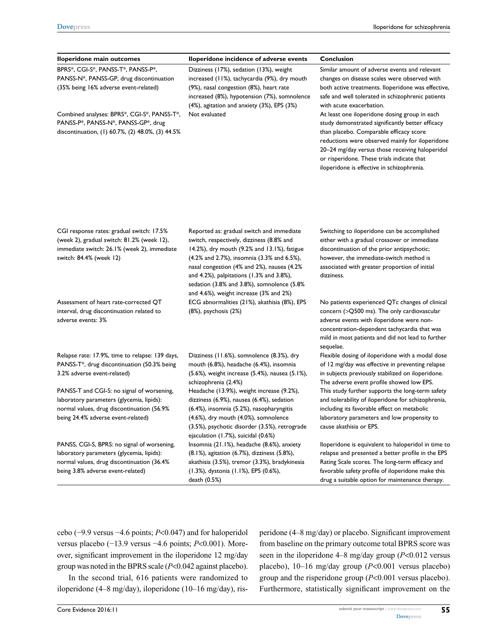| Iloperidone main outcomes                                                                                                                                                                                                                                                       | Iloperidone incidence of adverse events                                                                                                                                                                                                                                                                                                                               | Conclusion                                                                                                                                                                                                                                                                                                                                                                                                                                                                                                                                                                             |
|---------------------------------------------------------------------------------------------------------------------------------------------------------------------------------------------------------------------------------------------------------------------------------|-----------------------------------------------------------------------------------------------------------------------------------------------------------------------------------------------------------------------------------------------------------------------------------------------------------------------------------------------------------------------|----------------------------------------------------------------------------------------------------------------------------------------------------------------------------------------------------------------------------------------------------------------------------------------------------------------------------------------------------------------------------------------------------------------------------------------------------------------------------------------------------------------------------------------------------------------------------------------|
| BPRS*, CGI-S*, PANSS-T*, PANSS-P*,<br>PANSS-N*, PANSS-GP, drug discontinuation<br>(35% being 16% adverse event-related)<br>Combined analyses: BPRS*, CGI-S*, PANSS-T*, Not evaluated<br>PANSS-P*, PANSS-N*, PANSS-GP*, drug<br>discontinuation, (1) 60.7%, (2) 48.0%, (3) 44.5% | Dizziness (17%), sedation (13%), weight<br>increased (11%), tachycardia (9%), dry mouth<br>(9%), nasal congestion (8%), heart rate<br>increased (8%), hypotension (7%), somnolence<br>(4%), agitation and anxiety (3%), EPS (3%)                                                                                                                                      | Similar amount of adverse events and relevant<br>changes on disease scales were observed with<br>both active treatments. lloperidone was effective,<br>safe and well tolerated in schizophrenic patients<br>with acute exacerbation.<br>At least one iloperidone dosing group in each<br>study demonstrated significantly better efficacy<br>than placebo. Comparable efficacy score<br>reductions were observed mainly for iloperidone<br>20-24 mg/day versus those receiving haloperidol<br>or risperidone. These trials indicate that<br>iloperidone is effective in schizophrenia. |
| CGI response rates: gradual switch: 17.5%<br>(week 2), gradual switch: 81.2% (week 12),<br>immediate switch: 26.1% (week 2), immediate<br>switch: 84.4% (week 12)                                                                                                               | Reported as: gradual switch and immediate<br>switch, respectively, dizziness (8.8% and<br>14.2%), dry mouth (9.2% and 13.1%), fatigue<br>(4.2% and 2.7%), insomnia (3.3% and 6.5%),<br>nasal congestion (4% and 2%), nausea (4.2%<br>and 4.2%), palpitations (1.3% and 3.8%),<br>sedation (3.8% and 3.8%), somnolence (5.8%<br>and 4.6%), weight increase (3% and 2%) | Switching to iloperidone can be accomplished<br>either with a gradual crossover or immediate<br>discontinuation of the prior antipsychotic;<br>however, the immediate-switch method is<br>associated with greater proportion of initial<br>dizziness.                                                                                                                                                                                                                                                                                                                                  |
| Assessment of heart rate-corrected QT<br>interval, drug discontinuation related to<br>adverse events: 3%                                                                                                                                                                        | ECG abnormalities (21%), akathisia (8%), EPS<br>(8%), psychosis (2%)                                                                                                                                                                                                                                                                                                  | No patients experienced QTc changes of clinical<br>concern (>Q500 ms). The only cardiovascular<br>adverse events with iloperidone were non-<br>concentration-dependent tachycardia that was<br>mild in most patients and did not lead to further<br>sequelae.                                                                                                                                                                                                                                                                                                                          |
| Relapse rate: 17.9%, time to relapse: 139 days,<br>PANSS-T*, drug discontinuation (50.3% being<br>3.2% adverse event-related)                                                                                                                                                   | Dizziness (11.6%), somnolence (8.3%), dry<br>mouth (6.8%), headache (6.4%), insomnia<br>(5.6%), weight increase (5.4%), nausea (5.1%),<br>schizophrenia (2.4%)                                                                                                                                                                                                        | Flexible dosing of iloperidone with a modal dose<br>of 12 mg/day was effective in preventing relapse<br>in subjects previously stabilized on iloperidone.<br>The adverse event profile showed low EPS.                                                                                                                                                                                                                                                                                                                                                                                 |
| PANSS-T and CGI-S: no signal of worsening,<br>laboratory parameters (glycemia, lipids):<br>normal values, drug discontinuation (56.9%<br>being 24.4% adverse event-related)                                                                                                     | Headache (13.9%), weight increase (9.2%),<br>dizziness (6.9%), nausea (6.4%), sedation<br>(6.4%), insomnia (5.2%), nasopharyngitis<br>(4.6%), dry mouth (4.0%), somnolence<br>(3.5%), psychotic disorder (3.5%), retrograde<br>ejaculation (1.7%), suicidal (0.6%)                                                                                                    | This study further supports the long-term safety<br>and tolerability of iloperidone for schizophrenia,<br>including its favorable effect on metabolic<br>laboratory parameters and low propensity to<br>cause akathisia or EPS.                                                                                                                                                                                                                                                                                                                                                        |
| PANSS, CGI-S, BPRS: no signal of worsening,<br>laboratory parameters (glycemia, lipids):<br>normal values, drug discontinuation (36.4%<br>being 3.8% adverse event-related)                                                                                                     | Insomnia (21.1%), headache (8.6%), anxiety<br>(8.1%), agitation (6.7%), dizziness (5.8%),<br>akathisia (3.5%), tremor (3.3%), bradykinesia<br>(1.3%), dystonia (1.1%), EPS (0.6%),<br>death (0.5%)                                                                                                                                                                    | lloperidone is equivalent to haloperidol in time to<br>relapse and presented a better profile in the EPS<br>Rating Scale scores. The long-term efficacy and<br>favorable safety profile of iloperidone make this<br>drug a suitable option for maintenance therapy.                                                                                                                                                                                                                                                                                                                    |

cebo (−9.9 versus −4.6 points; *P*<0.047) and for haloperidol versus placebo (−13.9 versus −4.6 points; *P*<0.001). Moreover, significant improvement in the iloperidone 12 mg/day group was noted in the BPRS scale (*P*<0.042 against placebo).

In the second trial, 616 patients were randomized to iloperidone (4–8 mg/day), iloperidone (10–16 mg/day), risperidone (4–8 mg/day) or placebo. Significant improvement from baseline on the primary outcome total BPRS score was seen in the iloperidone 4–8 mg/day group (*P*<0.012 versus placebo), 10–16 mg/day group (*P*<0.001 versus placebo) group and the risperidone group (*P*<0.001 versus placebo). Furthermore, statistically significant improvement on the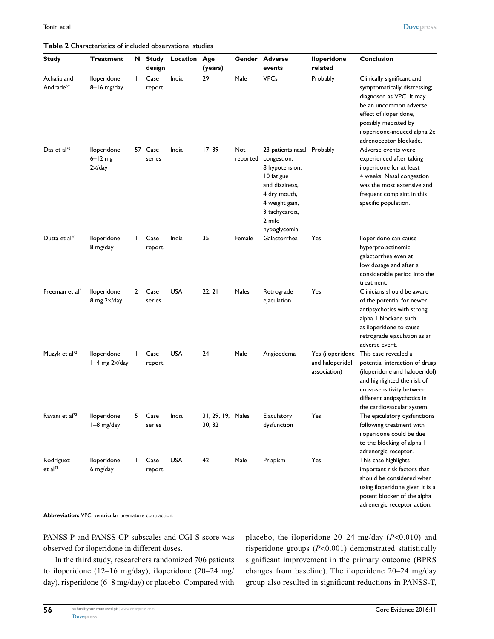| <b>Study</b>                         | <b>Treatment</b>                              |              | N Study<br>design | Location   | Age<br>(years)              |                 | Gender Adverse<br>events                                                                                                                                                  | <b>Iloperidone</b><br>related                       | Conclusion                                                                                                                                                                                                                   |
|--------------------------------------|-----------------------------------------------|--------------|-------------------|------------|-----------------------------|-----------------|---------------------------------------------------------------------------------------------------------------------------------------------------------------------------|-----------------------------------------------------|------------------------------------------------------------------------------------------------------------------------------------------------------------------------------------------------------------------------------|
| Achalia and<br>Andrade <sup>59</sup> | lloperidone<br>$8 - 16$ mg/day                | $\mathbf{L}$ | Case<br>report    | India      | 29                          | Male            | <b>VPCs</b>                                                                                                                                                               | Probably                                            | Clinically significant and<br>symptomatically distressing;<br>diagnosed as VPC. It may<br>be an uncommon adverse<br>effect of iloperidone,<br>possibly mediated by<br>iloperidone-induced alpha 2c<br>adrenoceptor blockade. |
| Das et al <sup>70</sup>              | lloperidone<br>$6 - 12$ mg<br>$2 \times$ /day |              | 57 Case<br>series | India      | $17 - 39$                   | Not<br>reported | 23 patients nasal Probably<br>congestion,<br>8 hypotension,<br>10 fatigue<br>and dizziness,<br>4 dry mouth,<br>4 weight gain,<br>3 tachycardia,<br>2 mild<br>hypoglycemia |                                                     | Adverse events were<br>experienced after taking<br>iloperidone for at least<br>4 weeks. Nasal congestion<br>was the most extensive and<br>frequent complaint in this<br>specific population.                                 |
| Dutta et al <sup>60</sup>            | lloperidone<br>8 mg/day                       |              | Case<br>report    | India      | 35                          | Female          | Galactorrhea                                                                                                                                                              | Yes                                                 | lloperidone can cause<br>hyperprolactinemic<br>galactorrhea even at<br>low dosage and after a<br>considerable period into the<br>treatment.                                                                                  |
| Freeman et al <sup>71</sup>          | lloperidone<br>8 mg $2 \times$ /day           | 2            | Case<br>series    | <b>USA</b> | 22, 21                      | Males           | Retrograde<br>ejaculation                                                                                                                                                 | Yes                                                 | Clinicians should be aware<br>of the potential for newer<br>antipsychotics with strong<br>alpha I blockade such<br>as iloperidone to cause<br>retrograde ejaculation as an<br>adverse event.                                 |
| Muzyk et al <sup>72</sup>            | lloperidone<br>$1-4$ mg $2\times$ /day        |              | Case<br>report    | USA        | 24                          | Male            | Angioedema                                                                                                                                                                | Yes (iloperidone<br>and haloperidol<br>association) | This case revealed a<br>potential interaction of drugs<br>(iloperidone and haloperidol)<br>and highlighted the risk of<br>cross-sensitivity between<br>different antipsychotics in<br>the cardiovascular system.             |
| Ravani et al <sup>73</sup>           | lloperidone<br>$1-8$ mg/day                   | 5            | Case<br>series    | India      | 31, 29, 19, Males<br>30, 32 |                 | Ejaculatory<br>dysfunction                                                                                                                                                | Yes                                                 | The ejaculatory dysfunctions<br>following treatment with<br>iloperidone could be due<br>to the blocking of alpha I<br>adrenergic receptor.                                                                                   |
| Rodriguez<br>et al <sup>74</sup>     | lloperidone<br>6 mg/day                       |              | Case<br>report    | <b>USA</b> | 42                          | Male            | Priapism                                                                                                                                                                  | Yes                                                 | This case highlights<br>important risk factors that<br>should be considered when<br>using iloperidone given it is a<br>potent blocker of the alpha<br>adrenergic receptor action.                                            |

**Table 2** Characteristics of included observational studies

**Abbreviation:** VPC, ventricular premature contraction.

PANSS-P and PANSS-GP subscales and CGI-S score was observed for iloperidone in different doses.

In the third study, researchers randomized 706 patients to iloperidone (12–16 mg/day), iloperidone (20–24 mg/ day), risperidone (6–8 mg/day) or placebo. Compared with placebo, the iloperidone 20–24 mg/day (*P*<0.010) and risperidone groups (*P*<0.001) demonstrated statistically significant improvement in the primary outcome (BPRS changes from baseline). The iloperidone 20–24 mg/day group also resulted in significant reductions in PANSS-T,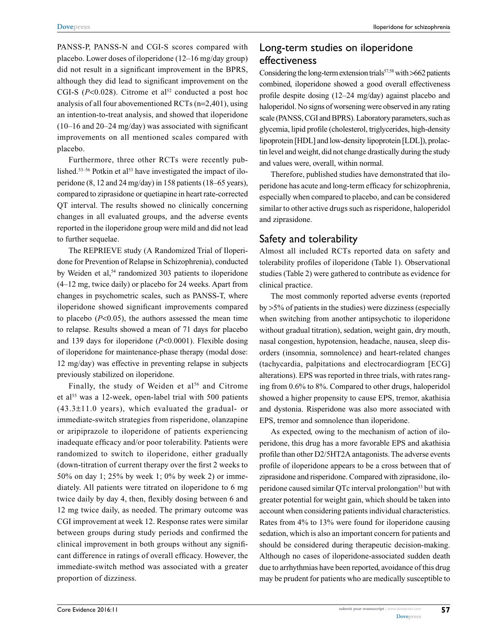PANSS-P, PANSS-N and CGI-S scores compared with placebo. Lower doses of iloperidone (12–16 mg/day group) did not result in a significant improvement in the BPRS, although they did lead to significant improvement on the CGI-S  $(P<0.028)$ . Citrome et al<sup>52</sup> conducted a post hoc analysis of all four abovementioned RCTs (n=2,401), using an intention-to-treat analysis, and showed that iloperidone (10–16 and 20–24 mg/day) was associated with significant improvements on all mentioned scales compared with placebo.

Furthermore, three other RCTs were recently published.<sup>53–56</sup> Potkin et al<sup>53</sup> have investigated the impact of iloperidone (8, 12 and 24 mg/day) in 158 patients (18–65 years), compared to ziprasidone or quetiapine in heart rate-corrected QT interval. The results showed no clinically concerning changes in all evaluated groups, and the adverse events reported in the iloperidone group were mild and did not lead to further sequelae.

The REPRIEVE study (A Randomized Trial of Iloperidone for Prevention of Relapse in Schizophrenia), conducted by Weiden et al,<sup>54</sup> randomized 303 patients to iloperidone (4–12 mg, twice daily) or placebo for 24 weeks. Apart from changes in psychometric scales, such as PANSS-T, where iloperidone showed significant improvements compared to placebo (*P*<0.05), the authors assessed the mean time to relapse. Results showed a mean of 71 days for placebo and 139 days for iloperidone (*P*<0.0001). Flexible dosing of iloperidone for maintenance-phase therapy (modal dose: 12 mg/day) was effective in preventing relapse in subjects previously stabilized on iloperidone.

Finally, the study of Weiden et al<sup>56</sup> and Citrome et al<sup>55</sup> was a 12-week, open-label trial with 500 patients  $(43.3 \pm 11.0 \text{ years})$ , which evaluated the gradual- or immediate-switch strategies from risperidone, olanzapine or aripiprazole to iloperidone of patients experiencing inadequate efficacy and/or poor tolerability. Patients were randomized to switch to iloperidone, either gradually (down-titration of current therapy over the first 2 weeks to 50% on day 1; 25% by week 1; 0% by week 2) or immediately. All patients were titrated on iloperidone to 6 mg twice daily by day 4, then, flexibly dosing between 6 and 12 mg twice daily, as needed. The primary outcome was CGI improvement at week 12. Response rates were similar between groups during study periods and confirmed the clinical improvement in both groups without any significant difference in ratings of overall efficacy. However, the immediate-switch method was associated with a greater proportion of dizziness.

### Long-term studies on iloperidone effectiveness

Considering the long-term extension trials<sup>57,58</sup> with  $>662$  patients combined, iloperidone showed a good overall effectiveness profile despite dosing (12–24 mg/day) against placebo and haloperidol. No signs of worsening were observed in any rating scale (PANSS, CGI and BPRS). Laboratory parameters, such as glycemia, lipid profile (cholesterol, triglycerides, high-density lipoprotein [HDL] and low-density lipoprotein [LDL]), prolactin level and weight, did not change drastically during the study and values were, overall, within normal.

Therefore, published studies have demonstrated that iloperidone has acute and long-term efficacy for schizophrenia, especially when compared to placebo, and can be considered similar to other active drugs such as risperidone, haloperidol and ziprasidone.

# Safety and tolerability

Almost all included RCTs reported data on safety and tolerability profiles of iloperidone (Table 1). Observational studies (Table 2) were gathered to contribute as evidence for clinical practice.

The most commonly reported adverse events (reported by >5% of patients in the studies) were dizziness (especially when switching from another antipsychotic to iloperidone without gradual titration), sedation, weight gain, dry mouth, nasal congestion, hypotension, headache, nausea, sleep disorders (insomnia, somnolence) and heart-related changes (tachycardia, palpitations and electrocardiogram [ECG] alterations). EPS was reported in three trials, with rates ranging from 0.6% to 8%. Compared to other drugs, haloperidol showed a higher propensity to cause EPS, tremor, akathisia and dystonia. Risperidone was also more associated with EPS, tremor and somnolence than iloperidone.

As expected, owing to the mechanism of action of iloperidone, this drug has a more favorable EPS and akathisia profile than other D2/5HT2A antagonists. The adverse events profile of iloperidone appears to be a cross between that of ziprasidone and risperidone. Compared with ziprasidone, iloperidone caused similar QTc interval prolongation<sup>53</sup> but with greater potential for weight gain, which should be taken into account when considering patients individual characteristics. Rates from 4% to 13% were found for iloperidone causing sedation, which is also an important concern for patients and should be considered during therapeutic decision-making. Although no cases of iloperidone-associated sudden death due to arrhythmias have been reported, avoidance of this drug may be prudent for patients who are medically susceptible to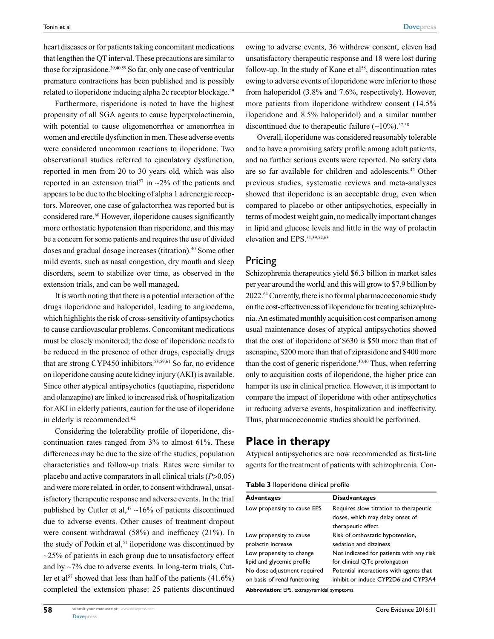heart diseases or for patients taking concomitant medications that lengthen the QT interval. These precautions are similar to those for ziprasidone.<sup>39,40,59</sup> So far, only one case of ventricular premature contractions has been published and is possibly related to iloperidone inducing alpha 2c receptor blockage.<sup>59</sup>

Furthermore, risperidone is noted to have the highest propensity of all SGA agents to cause hyperprolactinemia, with potential to cause oligomenorrhea or amenorrhea in women and erectile dysfunction in men. These adverse events were considered uncommon reactions to iloperidone. Two observational studies referred to ejaculatory dysfunction, reported in men from 20 to 30 years old, which was also reported in an extension trial<sup>57</sup> in  $\sim$ 2% of the patients and appears to be due to the blocking of alpha 1 adrenergic receptors. Moreover, one case of galactorrhea was reported but is considered rare.<sup>60</sup> However, iloperidone causes significantly more orthostatic hypotension than risperidone, and this may be a concern for some patients and requires the use of divided doses and gradual dosage increases (titration).40 Some other mild events, such as nasal congestion, dry mouth and sleep disorders, seem to stabilize over time, as observed in the extension trials, and can be well managed.

It is worth noting that there is a potential interaction of the drugs iloperidone and haloperidol, leading to angioedema, which highlights the risk of cross-sensitivity of antipsychotics to cause cardiovascular problems. Concomitant medications must be closely monitored; the dose of iloperidone needs to be reduced in the presence of other drugs, especially drugs that are strong CYP450 inhibitors.<sup>53,59,61</sup> So far, no evidence on iloperidone causing acute kidney injury (AKI) is available. Since other atypical antipsychotics (quetiapine, risperidone and olanzapine) are linked to increased risk of hospitalization for AKI in elderly patients, caution for the use of iloperidone in elderly is recommended.<sup>62</sup>

Considering the tolerability profile of iloperidone, discontinuation rates ranged from 3% to almost 61%. These differences may be due to the size of the studies, population characteristics and follow-up trials. Rates were similar to placebo and active comparators in all clinical trials (*P*>0.05) and were more related, in order, to consent withdrawal, unsatisfactory therapeutic response and adverse events. In the trial published by Cutler et al,<sup>47</sup>  $\sim$ 16% of patients discontinued due to adverse events. Other causes of treatment dropout were consent withdrawal (58%) and inefficacy (21%). In the study of Potkin et al,<sup>51</sup> iloperidone was discontinued by  $\sim$ 25% of patients in each group due to unsatisfactory effect and by ~7% due to adverse events. In long-term trials, Cutler et al<sup>57</sup> showed that less than half of the patients  $(41.6\%)$ completed the extension phase: 25 patients discontinued owing to adverse events, 36 withdrew consent, eleven had unsatisfactory therapeutic response and 18 were lost during follow-up. In the study of Kane et  $a^{158}$ , discontinuation rates owing to adverse events of iloperidone were inferior to those from haloperidol (3.8% and 7.6%, respectively). However, more patients from iloperidone withdrew consent (14.5% iloperidone and 8.5% haloperidol) and a similar number discontinued due to the rapeutic failure  $(-10\%)$ <sup>57,58</sup>

Overall, iloperidone was considered reasonably tolerable and to have a promising safety profile among adult patients, and no further serious events were reported. No safety data are so far available for children and adolescents.42 Other previous studies, systematic reviews and meta-analyses showed that iloperidone is an acceptable drug, even when compared to placebo or other antipsychotics, especially in terms of modest weight gain, no medically important changes in lipid and glucose levels and little in the way of prolactin elevation and EPS.31,39,52,63

### Pricing

Schizophrenia therapeutics yield \$6.3 billion in market sales per year around the world, and this will grow to \$7.9 billion by 2022.64 Currently, there is no formal pharmacoeconomic study on the cost-effectiveness of iloperidone for treating schizophrenia. An estimated monthly acquisition cost comparison among usual maintenance doses of atypical antipsychotics showed that the cost of iloperidone of \$630 is \$50 more than that of asenapine, \$200 more than that of ziprasidone and \$400 more than the cost of generic risperidone.<sup>30,40</sup> Thus, when referring only to acquisition costs of iloperidone, the higher price can hamper its use in clinical practice. However, it is important to compare the impact of iloperidone with other antipsychotics in reducing adverse events, hospitalization and ineffectivity. Thus, pharmacoeconomic studies should be performed.

### **Place in therapy**

Atypical antipsychotics are now recommended as first-line agents for the treatment of patients with schizophrenia. Con-

|  | Table 3 lloperidone clinical profile |  |  |
|--|--------------------------------------|--|--|
|--|--------------------------------------|--|--|

| <b>Advantages</b>             | <b>Disadvantages</b>                     |  |  |
|-------------------------------|------------------------------------------|--|--|
| Low propensity to cause EPS   | Requires slow titration to therapeutic   |  |  |
|                               | doses, which may delay onset of          |  |  |
|                               | therapeutic effect                       |  |  |
| Low propensity to cause       | Risk of orthostatic hypotension,         |  |  |
| prolactin increase            | sedation and dizziness                   |  |  |
| Low propensity to change      | Not indicated for patients with any risk |  |  |
| lipid and glycemic profile    | for clinical QTc prolongation            |  |  |
| No dose adjustment required   | Potential interactions with agents that  |  |  |
| on basis of renal functioning | inhibit or induce CYP2D6 and CYP3A4      |  |  |

**Abbreviation:** EPS, extrapyramidal symptoms.

**58**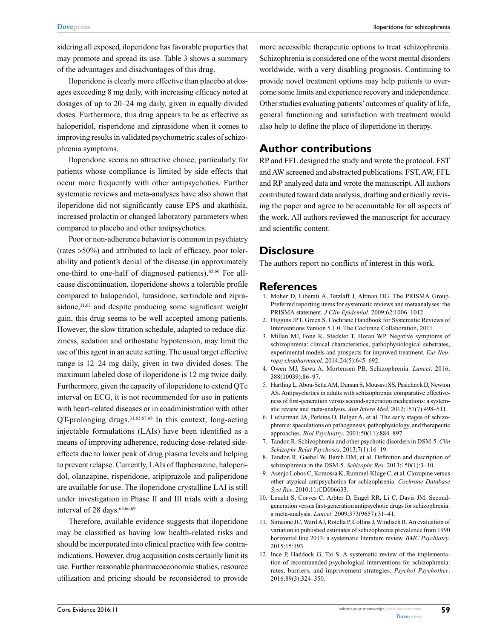sidering all exposed, iloperidone has favorable properties that may promote and spread its use. Table 3 shows a summary of the advantages and disadvantages of this drug.

Iloperidone is clearly more effective than placebo at dosages exceeding 8 mg daily, with increasing efficacy noted at dosages of up to 20–24 mg daily, given in equally divided doses. Furthermore, this drug appears to be as effective as haloperidol, risperidone and ziprasidone when it comes to improving results in validated psychometric scales of schizophrenia symptoms.

Iloperidone seems an attractive choice, particularly for patients whose compliance is limited by side effects that occur more frequently with other antipsychotics. Further systematic reviews and meta-analyses have also shown that iloperidone did not significantly cause EPS and akathisia, increased prolactin or changed laboratory parameters when compared to placebo and other antipsychotics.

Poor or non-adherence behavior is common in psychiatry (rates >50%) and attributed to lack of efficacy, poor tolerability and patient's denial of the disease (in approximately one-third to one-half of diagnosed patients).<sup>65,66</sup> For allcause discontinuation, iloperidone shows a tolerable profile compared to haloperidol, lurasidone, sertindole and ziprasidone,<sup>31,63</sup> and despite producing some significant weight gain, this drug seems to be well accepted among patients. However, the slow titration schedule, adapted to reduce dizziness, sedation and orthostatic hypotension, may limit the use of this agent in an acute setting. The usual target effective range is 12–24 mg daily, given in two divided doses. The maximum labeled dose of iloperidone is 12 mg twice daily. Furthermore, given the capacity of iloperidone to extend QTc interval on ECG, it is not recommended for use in patients with heart-related diseases or in coadministration with other QT-prolonging drugs.31,63,67,68 In this context, long-acting injectable formulations (LAIs) have been identified as a means of improving adherence, reducing dose-related sideeffects due to lower peak of drug plasma levels and helping to prevent relapse. Currently, LAIs of fluphenazine, haloperidol, olanzapine, risperidone, aripiprazole and paliperidone are available for use. The iloperidone crystalline LAI is still under investigation in Phase II and III trials with a dosing interval of 28 days.<sup>65,66,69</sup>

Therefore, available evidence suggests that iloperidone may be classified as having low health-related risks and should be incorporated into clinical practice with few contraindications. However, drug acquisition costs certainly limit its use. Further reasonable pharmacoeconomic studies, resource utilization and pricing should be reconsidered to provide

more accessible therapeutic options to treat schizophrenia. Schizophrenia is considered one of the worst mental disorders worldwide, with a very disabling prognosis. Continuing to provide novel treatment options may help patients to overcome some limits and experience recovery and independence. Other studies evaluating patients' outcomes of quality of life, general functioning and satisfaction with treatment would also help to define the place of iloperidone in therapy.

### **Author contributions**

RP and FFL designed the study and wrote the protocol. FST and AW screened and abstracted publications. FST, AW, FFL and RP analyzed data and wrote the manuscript. All authors contributed toward data analysis, drafting and critically revising the paper and agree to be accountable for all aspects of the work. All authors reviewed the manuscript for accuracy and scientific content.

# **Disclosure**

The authors report no conflicts of interest in this work.

### **References**

- 1. Moher D, Liberati A, Tetzlaff J, Altman DG. The PRISMA Group. Preferred reporting items for systematic reviews and metaanalyses: the PRISMA statement. *J Clin Epidemiol*. 2009;62:1006–1012.
- 2. Higgins JPT, Green S. Cochrane Handbook for Systematic Reviews of Interventions Version 5.1.0. The Cochrane Collaboration, 2011.
- 3. Millan MJ, Fone K, Steckler T, Horan WP. Negative symptoms of schizophrenia: clinical characteristics, pathophysiological substrates, experimental models and prospects for improved treatment. *Eur Neuropsychopharmacol*. 2014;24(5):645–692.
- 4. Owen MJ, Sawa A, Mortensen PB. Schizophrenia. *Lancet*. 2016; 388(10039):86–97.
- 5. Hartling L, Abou-Setta AM, Dursun S, Mousavi SS, Pasichnyk D, Newton AS. Antipsychotics in adults with schizophrenia: comparative effectiveness of first-generation versus second-generation medications: a systematic review and meta-analysis. *Ann Intern Med*. 2012;157(7):498–511.
- 6. Lieberman JA, Perkins D, Belger A, et al. The early stages of schizophrenia: speculations on pathogenesis, pathophysiology, and therapeutic approaches. *Biol Psychiatry*. 2001;50(11):884–897.
- 7. Tandon R. Schizophrenia and other psychotic disorders in DSM-5. *Clin Schizophr Relat Psychoses*. 2013;7(1):16–19.
- 8. Tandon R, Gaebel W, Barch DM, et al. Definition and description of schizophrenia in the DSM-5. *Schizophr Res*. 2013;150(1):3–10.
- 9. Asenjo Lobos C, Komossa K, Rummel-Kluge C, et al. Clozapine versus other atypical antipsychotics for schizophrenia. *Cochrane Database Syst Rev*. 2010;11:CD006633.
- 10. Leucht S, Corves C, Arbter D, Engel RR, Li C, Davis JM. Secondgeneration versus first-generation antipsychotic drugs for schizophrenia: a meta-analysis. *Lancet*. 2009;373(9657):31–41.
- 11. Simeone JC, Ward AJ, Rotella P, Collins J, Windisch R. An evaluation of variation in published estimates of schizophrenia prevalence from 1990 horizontal line 2013: a systematic literature review. *BMC Psychiatry*. 2015;15:193.
- 12. Ince P, Haddock G, Tai S. A systematic review of the implementation of recommended psychological interventions for schizophrenia: rates, barriers, and improvement strategies. *Psychol Psychother*. 2016;89(3):324–350.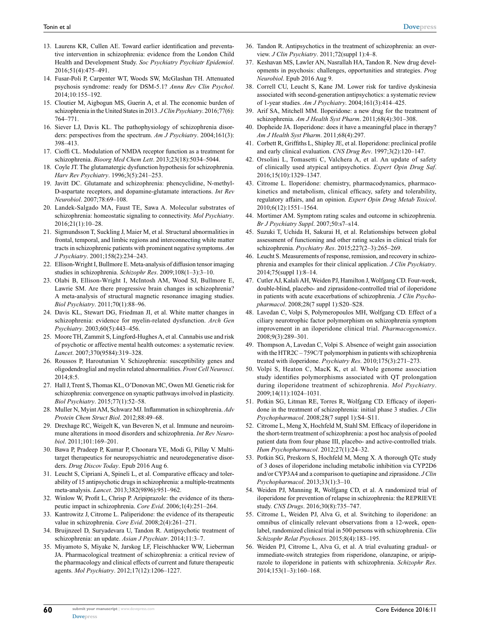- 13. Laurens KR, Cullen AE. Toward earlier identification and preventative intervention in schizophrenia: evidence from the London Child Health and Development Study. *Soc Psychiatry Psychiatr Epidemiol*. 2016;51(4):475–491.
- 14. Fusar-Poli P, Carpenter WT, Woods SW, McGlashan TH. Attenuated psychosis syndrome: ready for DSM-5.1? *Annu Rev Clin Psychol*. 2014;10:155–192.
- 15. Cloutier M, Aigbogun MS, Guerin A, et al. The economic burden of schizophrenia in the United States in 2013. *J Clin Psychiatry*. 2016;77(6): 764–771.
- 16. Siever LJ, Davis KL. The pathophysiology of schizophrenia disorders: perspectives from the spectrum. *Am J Psychiatry*. 2004;161(3): 398–413.
- 17. Cioffi CL. Modulation of NMDA receptor function as a treatment for schizophrenia. *Bioorg Med Chem Lett*. 2013;23(18):5034–5044.
- 18. Coyle JT. The glutamatergic dysfunction hypothesis for schizophrenia. *Harv Rev Psychiatry*. 1996;3(5):241–253.
- 19. Javitt DC. Glutamate and schizophrenia: phencyclidine, N-methyl-D-aspartate receptors, and dopamine-glutamate interactions. *Int Rev Neurobiol*. 2007;78:69–108.
- 20. Landek-Salgado MA, Faust TE, Sawa A. Molecular substrates of schizophrenia: homeostatic signaling to connectivity. *Mol Psychiatry*. 2016;21(1):10–28.
- 21. Sigmundsson T, Suckling J, Maier M, et al. Structural abnormalities in frontal, temporal, and limbic regions and interconnecting white matter tracts in schizophrenic patients with prominent negative symptoms. *Am J Psychiatry*. 2001;158(2):234–243.
- 22. Ellison-Wright I, Bullmore E. Meta-analysis of diffusion tensor imaging studies in schizophrenia. *Schizophr Res*. 2009;108(1–3):3–10.
- 23. Olabi B, Ellison-Wright I, McIntosh AM, Wood SJ, Bullmore E, Lawrie SM. Are there progressive brain changes in schizophrenia? A meta-analysis of structural magnetic resonance imaging studies. *Biol Psychiatry*. 2011;70(1):88–96.
- 24. Davis KL, Stewart DG, Friedman JI, et al. White matter changes in schizophrenia: evidence for myelin-related dysfunction. *Arch Gen Psychiatry*. 2003;60(5):443–456.
- 25. Moore TH, Zammit S, Lingford-Hughes A, et al. Cannabis use and risk of psychotic or affective mental health outcomes: a systematic review. *Lancet*. 2007;370(9584):319–328.
- 26. Roussos P, Haroutunian V. Schizophrenia: susceptibility genes and oligodendroglial and myelin related abnormalities. *Front Cell Neurosci*. 2014;8:5.
- 27. Hall J, Trent S, Thomas KL, O'Donovan MC, Owen MJ. Genetic risk for schizophrenia: convergence on synaptic pathways involved in plasticity. *Biol Psychiatry*. 2015;77(1):52–58.
- 28. Muller N, Myint AM, Schwarz MJ. Inflammation in schizophrenia. *Adv Protein Chem Struct Biol*. 2012;88:49–68.
- 29. Drexhage RC, Weigelt K, van Beveren N, et al. Immune and neuroimmune alterations in mood disorders and schizophrenia. *Int Rev Neurobiol*. 2011;101:169–201.
- 30. Bawa P, Pradeep P, Kumar P, Choonara YE, Modi G, Pillay V. Multitarget therapeutics for neuropsychiatric and neurodegenerative disorders. *Drug Discov Today*. Epub 2016 Aug 6.
- 31. Leucht S, Cipriani A, Spineli L, et al. Comparative efficacy and tolerability of 15 antipsychotic drugs in schizophrenia: a multiple-treatments meta-analysis. *Lancet*. 2013;382(9896):951–962.
- 32. Winlow W, Profit L, Chrisp P. Aripiprazole: the evidence of its therapeutic impact in schizophrenia. *Core Evid*. 2006;1(4):251–264.
- 33. Kantrowitz J, Citrome L. Paliperidone: the evidence of its therapeutic value in schizophrenia. *Core Evid*. 2008;2(4):261–271.
- 34. Bruijnzeel D, Suryadevara U, Tandon R. Antipsychotic treatment of schizophrenia: an update. *Asian J Psychiatr*. 2014;11:3–7.
- 35. Miyamoto S, Miyake N, Jarskog LF, Fleischhacker WW, Lieberman JA. Pharmacological treatment of schizophrenia: a critical review of the pharmacology and clinical effects of current and future therapeutic agents. *Mol Psychiatry*. 2012;17(12):1206–1227.
- 36. Tandon R. Antipsychotics in the treatment of schizophrenia: an overview. *J Clin Psychiatry*. 2011;72(suppl 1):4–8.
- 37. Keshavan MS, Lawler AN, Nasrallah HA, Tandon R. New drug developments in psychosis: challenges, opportunities and strategies. *Prog Neurobiol*. Epub 2016 Aug 9.
- 38. Correll CU, Leucht S, Kane JM. Lower risk for tardive dyskinesia associated with second-generation antipsychotics: a systematic review of 1-year studies. *Am J Psychiatry*. 2004;161(3):414–425.
- 39. Arif SA, Mitchell MM. Iloperidone: a new drug for the treatment of schizophrenia. *Am J Health Syst Pharm*. 2011;68(4):301–308.
- 40. Dopheide JA. Iloperidone: does it have a meaningful place in therapy? *Am J Health Syst Pharm*. 2011;68(4):297.
- 41. Corbett R, Griffiths L, Shipley JE, et al. Iloperidone: preclinical profile and early clinical evaluation. *CNS Drug Rev*. 1997;3(2):120–147.
- 42. Orsolini L, Tomasetti C, Valchera A, et al. An update of safety of clinically used atypical antipsychotics. *Expert Opin Drug Saf*. 2016;15(10):1329–1347.
- 43. Citrome L. Iloperidone: chemistry, pharmacodynamics, pharmacokinetics and metabolism, clinical efficacy, safety and tolerability, regulatory affairs, and an opinion. *Expert Opin Drug Metab Toxicol*. 2010;6(12):1551–1564.
- 44. Mortimer AM. Symptom rating scales and outcome in schizophrenia. *Br J Psychiatry Suppl*. 2007;50:s7–s14.
- 45. Suzuki T, Uchida H, Sakurai H, et al. Relationships between global assessment of functioning and other rating scales in clinical trials for schizophrenia. *Psychiatry Res*. 2015;227(2–3):265–269.
- 46. Leucht S. Measurements of response, remission, and recovery in schizophrenia and examples for their clinical application. *J Clin Psychiatry*. 2014;75(suppl 1):8–14.
- 47. Cutler AJ, Kalali AH, Weiden PJ, Hamilton J, Wolfgang CD. Four-week, double-blind, placebo- and ziprasidone-controlled trial of iloperidone in patients with acute exacerbations of schizophrenia. *J Clin Psychopharmacol*. 2008;28(7 suppl 1):S20–S28.
- 48. Lavedan C, Volpi S, Polymeropoulos MH, Wolfgang CD. Effect of a ciliary neurotrophic factor polymorphism on schizophrenia symptom improvement in an iloperidone clinical trial. *Pharmacogenomics*. 2008;9(3):289–301.
- 49. Thompson A, Lavedan C, Volpi S. Absence of weight gain association with the HTR2C – 759C/T polymorphism in patients with schizophrenia treated with iloperidone. *Psychiatry Res*. 2010;175(3):271–273.
- 50. Volpi S, Heaton C, MacK K, et al. Whole genome association study identifies polymorphisms associated with QT prolongation during iloperidone treatment of schizophrenia. *Mol Psychiatry*. 2009;14(11):1024–1031.
- 51. Potkin SG, Litman RE, Torres R, Wolfgang CD. Efficacy of iloperidone in the treatment of schizophrenia: initial phase 3 studies. *J Clin Psychopharmacol*. 2008;28(7 suppl 1):S4–S11.
- 52. Citrome L, Meng X, Hochfeld M, Stahl SM. Efficacy of iloperidone in the short-term treatment of schizophrenia: a post hoc analysis of pooled patient data from four phase III, placebo- and active-controlled trials. *Hum Psychopharmacol*. 2012;27(1):24–32.
- 53. Potkin SG, Preskorn S, Hochfeld M, Meng X. A thorough QTc study of 3 doses of iloperidone including metabolic inhibition via CYP2D6 and/or CYP3A4 and a comparison to quetiapine and ziprasidone. *J Clin Psychopharmacol*. 2013;33(1):3–10.
- 54. Weiden PJ, Manning R, Wolfgang CD, et al. A randomized trial of iloperidone for prevention of relapse in schizophrenia: the REPRIEVE study. *CNS Drugs*. 2016;30(8):735–747.
- 55. Citrome L, Weiden PJ, Alva G, et al. Switching to iloperidone: an omnibus of clinically relevant observations from a 12-week, openlabel, randomized clinical trial in 500 persons with schizophrenia. *Clin Schizophr Relat Psychoses*. 2015;8(4):183–195.
- 56. Weiden PJ, Citrome L, Alva G, et al. A trial evaluating gradual- or immediate-switch strategies from risperidone, olanzapine, or aripiprazole to iloperidone in patients with schizophrenia. *Schizophr Res*. 2014;153(1–3):160–168.